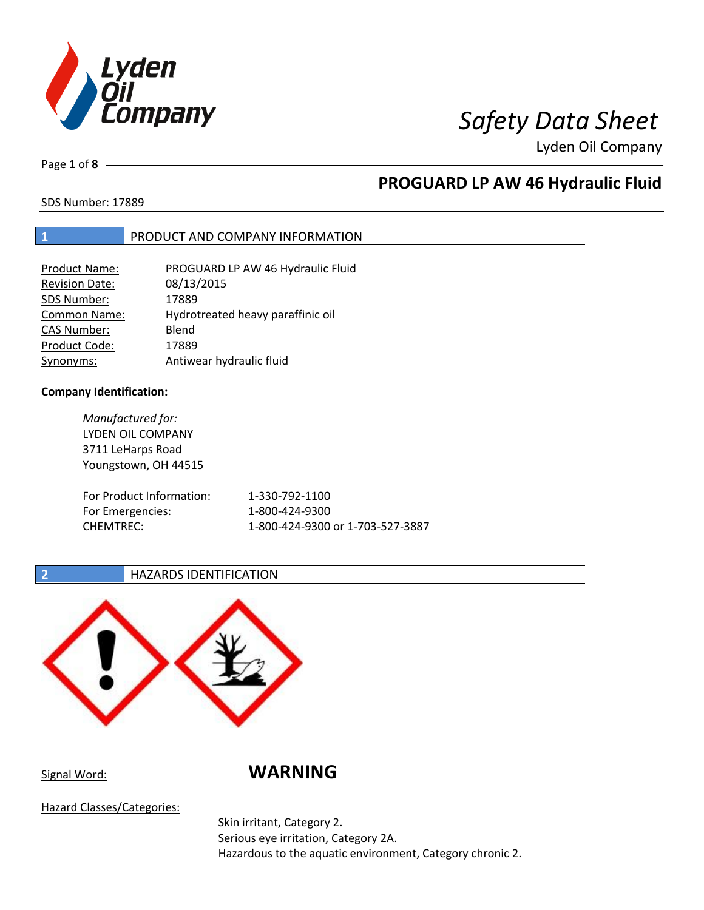

Page **1** of **8**

## **PROGUARD LP AW 46 Hydraulic Fluid**

SDS Number: 17889

## **1** PRODUCT AND COMPANY INFORMATION

| <b>Product Name:</b>  | PROGUARD LP AW 46 Hydraulic Fluid |
|-----------------------|-----------------------------------|
| <b>Revision Date:</b> | 08/13/2015                        |
| SDS Number:           | 17889                             |
| Common Name:          | Hydrotreated heavy paraffinic oil |
| <b>CAS Number:</b>    | Blend                             |
| Product Code:         | 17889                             |
| Synonyms:             | Antiwear hydraulic fluid          |

### **Company Identification:**

*Manufactured for:* LYDEN OIL COMPANY 3711 LeHarps Road Youngstown, OH 44515 For Product Information: 1-330-792-1100 For Emergencies: 1-800-424-9300 CHEMTREC: 1-800-424-9300 or 1-703-527-3887

## **2 HAZARDS IDENTIFICATION**



Signal Word: **WARNING**

Hazard Classes/Categories:

Skin irritant, Category 2. Serious eye irritation, Category 2A. Hazardous to the aquatic environment, Category chronic 2.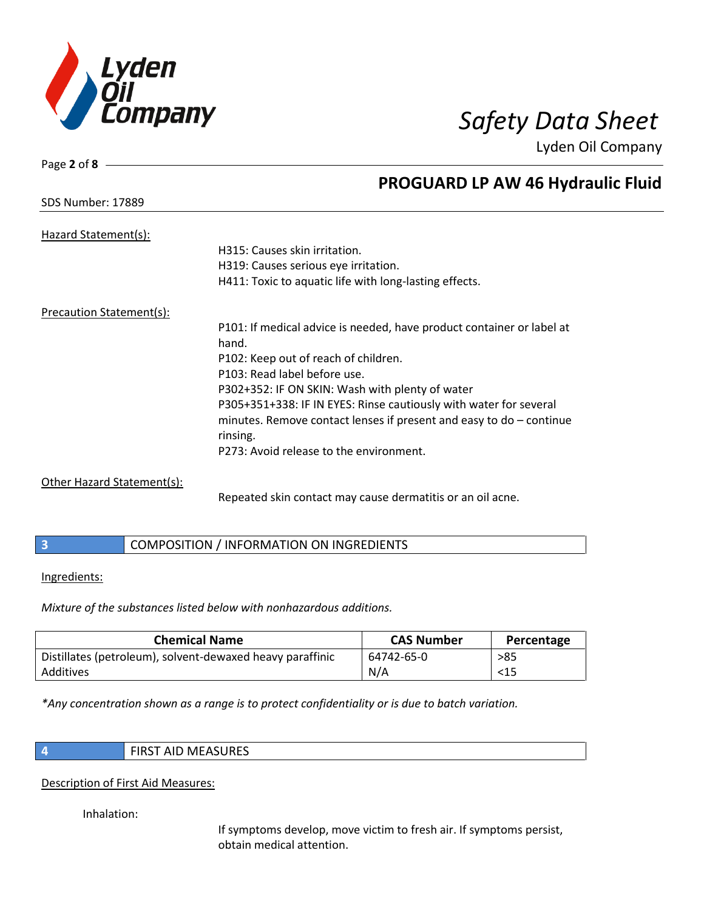

SDS Number: 17889

Page **2** of **8**

## **PROGUARD LP AW 46 Hydraulic Fluid**

| Hazard Statement(s):       |                                                                       |
|----------------------------|-----------------------------------------------------------------------|
|                            | H315: Causes skin irritation.                                         |
|                            | H319: Causes serious eye irritation.                                  |
|                            | H411: Toxic to aquatic life with long-lasting effects.                |
| Precaution Statement(s):   |                                                                       |
|                            | P101: If medical advice is needed, have product container or label at |
|                            | hand.                                                                 |
|                            | P102: Keep out of reach of children.                                  |
|                            | P103: Read label before use.                                          |
|                            | P302+352: IF ON SKIN: Wash with plenty of water                       |
|                            | P305+351+338: IF IN EYES: Rinse cautiously with water for several     |
|                            | minutes. Remove contact lenses if present and easy to $do$ – continue |
|                            | rinsing.                                                              |
|                            | P273: Avoid release to the environment.                               |
| Other Hazard Statement(s): |                                                                       |

Repeated skin contact may cause dermatitis or an oil acne.

|  | COMPOSITION / INFORMATION ON INGREDIENTS |
|--|------------------------------------------|
|--|------------------------------------------|

### Ingredients:

*Mixture of the substances listed below with nonhazardous additions.*

| <b>Chemical Name</b>                                      | <b>CAS Number</b> | Percentage |
|-----------------------------------------------------------|-------------------|------------|
| Distillates (petroleum), solvent-dewaxed heavy paraffinic | 64742-65-0        | >85        |
| Additives                                                 | N/A               | $15$       |

*\*Any concentration shown as a range is to protect confidentiality or is due to batch variation.*

| <b>FIRST AID MEASURES</b> |
|---------------------------|
|                           |

## Description of First Aid Measures:

Inhalation:

If symptoms develop, move victim to fresh air. If symptoms persist, obtain medical attention.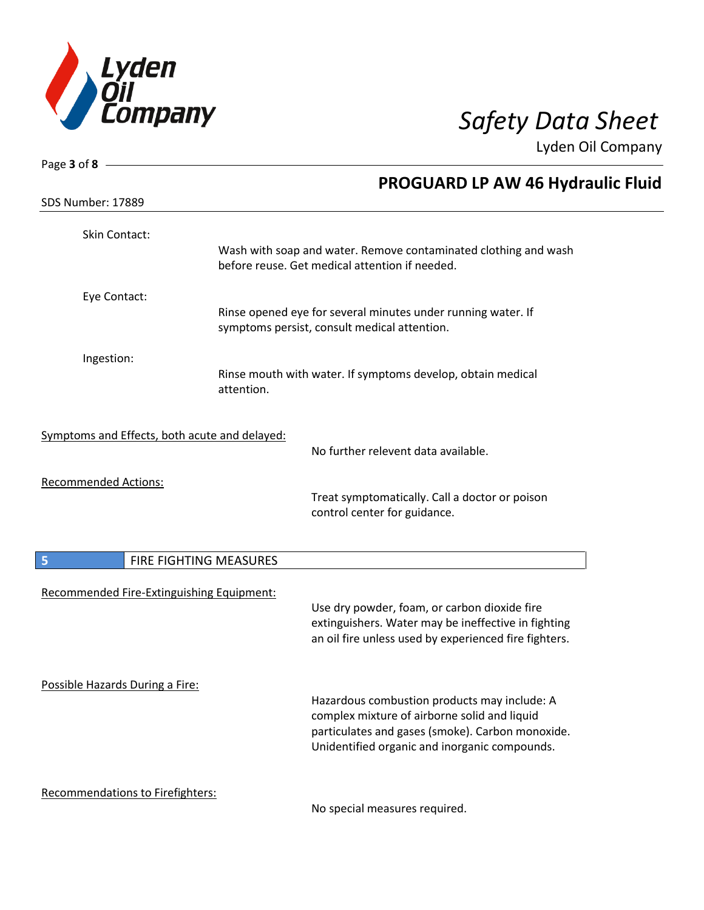

| Page 3 of 8 -                                 |                                                                                                                                                                                                   |
|-----------------------------------------------|---------------------------------------------------------------------------------------------------------------------------------------------------------------------------------------------------|
|                                               | <b>PROGUARD LP AW 46 Hydraulic Fluid</b>                                                                                                                                                          |
| SDS Number: 17889                             |                                                                                                                                                                                                   |
| Skin Contact:                                 | Wash with soap and water. Remove contaminated clothing and wash<br>before reuse. Get medical attention if needed.                                                                                 |
|                                               |                                                                                                                                                                                                   |
| Eye Contact:                                  | Rinse opened eye for several minutes under running water. If<br>symptoms persist, consult medical attention.                                                                                      |
| Ingestion:                                    | Rinse mouth with water. If symptoms develop, obtain medical<br>attention.                                                                                                                         |
| Symptoms and Effects, both acute and delayed: | No further relevent data available.                                                                                                                                                               |
| <b>Recommended Actions:</b>                   |                                                                                                                                                                                                   |
|                                               | Treat symptomatically. Call a doctor or poison<br>control center for guidance.                                                                                                                    |
| FIRE FIGHTING MEASURES<br>5                   |                                                                                                                                                                                                   |
| Recommended Fire-Extinguishing Equipment:     | Use dry powder, foam, or carbon dioxide fire<br>extinguishers. Water may be ineffective in fighting<br>an oil fire unless used by experienced fire fighters.                                      |
| Possible Hazards During a Fire:               | Hazardous combustion products may include: A<br>complex mixture of airborne solid and liquid<br>particulates and gases (smoke). Carbon monoxide.<br>Unidentified organic and inorganic compounds. |
| Recommendations to Firefighters:              | No special measures required                                                                                                                                                                      |

No special measures required.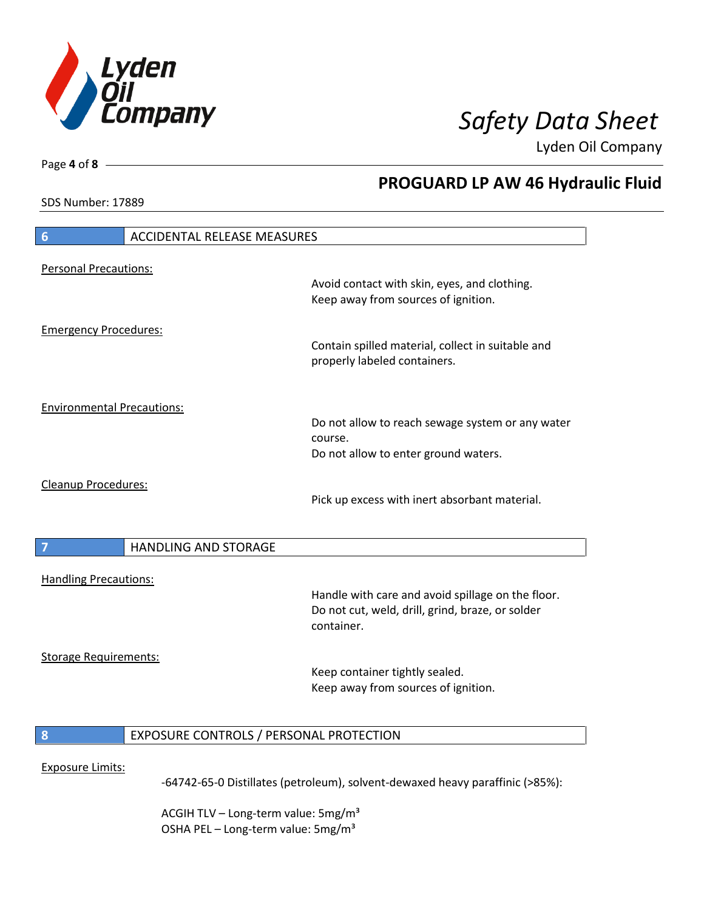

**PROGUARD LP AW 46 Hydraulic Fluid**

Lyden Oil Company

SDS Number: 17889

Page **4** of **8**

# **6** ACCIDENTAL RELEASE MEASURES Personal Precautions: Avoid contact with skin, eyes, and clothing. Keep away from sources of ignition. Emergency Procedures: Contain spilled material, collect in suitable and properly labeled containers. Environmental Precautions: Do not allow to reach sewage system or any water course. Do not allow to enter ground waters. Cleanup Procedures: Pick up excess with inert absorbant material. **7 HANDLING AND STORAGE** Handling Precautions: Handle with care and avoid spillage on the floor. Do not cut, weld, drill, grind, braze, or solder container. Storage Requirements: Keep container tightly sealed. Keep away from sources of ignition. **8** EXPOSURE CONTROLS / PERSONAL PROTECTION Exposure Limits: -64742-65-0 Distillates (petroleum), solvent-dewaxed heavy paraffinic (>85%):

ACGIH TLV – Long-term value:  $5\,\text{mg/m}^3$ OSHA PEL - Long-term value: 5mg/m<sup>3</sup>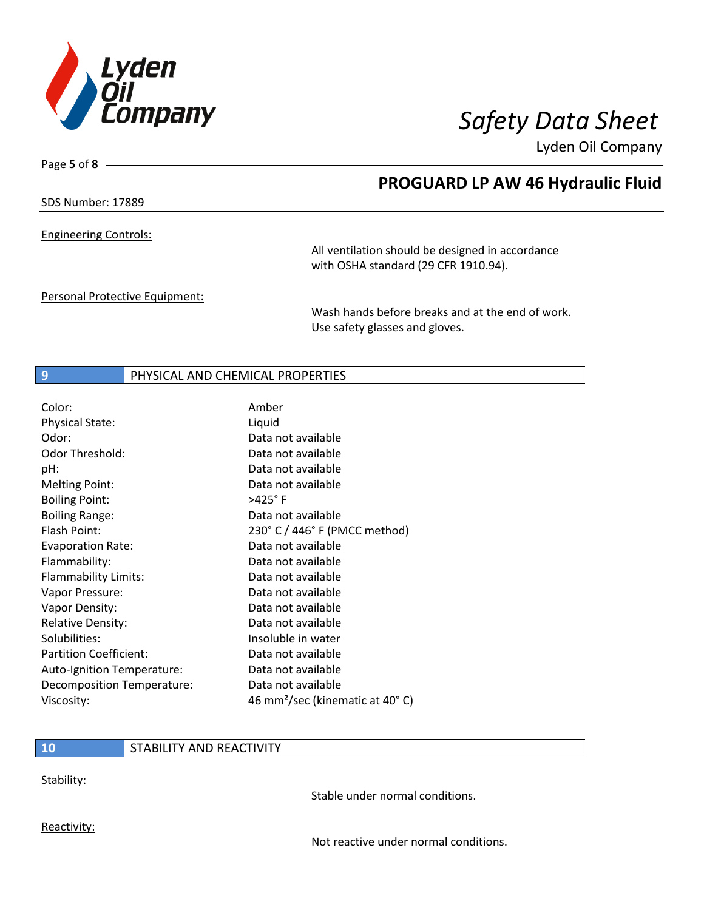

Page **5** of **8**

## **PROGUARD LP AW 46 Hydraulic Fluid**

SDS Number: 17889

Engineering Controls:

All ventilation should be designed in accordance with OSHA standard (29 CFR 1910.94).

Personal Protective Equipment:

Wash hands before breaks and at the end of work. Use safety glasses and gloves.

### **9** PHYSICAL AND CHEMICAL PROPERTIES

| Color:                        | Amber                                       |
|-------------------------------|---------------------------------------------|
| <b>Physical State:</b>        | Liquid                                      |
| Odor:                         | Data not available                          |
| Odor Threshold:               | Data not available                          |
| pH:                           | Data not available                          |
| <b>Melting Point:</b>         | Data not available                          |
| <b>Boiling Point:</b>         | $>425^\circ$ F                              |
| <b>Boiling Range:</b>         | Data not available                          |
| Flash Point:                  | 230° C / 446° F (PMCC method)               |
| Evaporation Rate:             | Data not available                          |
| Flammability:                 | Data not available                          |
| Flammability Limits:          | Data not available                          |
| Vapor Pressure:               | Data not available                          |
| Vapor Density:                | Data not available                          |
| <b>Relative Density:</b>      | Data not available                          |
| Solubilities:                 | Insoluble in water                          |
| <b>Partition Coefficient:</b> | Data not available                          |
| Auto-Ignition Temperature:    | Data not available                          |
| Decomposition Temperature:    | Data not available                          |
| Viscosity:                    | 46 mm <sup>2</sup> /sec (kinematic at 40°C) |

## **10** STABILITY AND REACTIVITY

Stability:

Stable under normal conditions.

Reactivity:

Not reactive under normal conditions.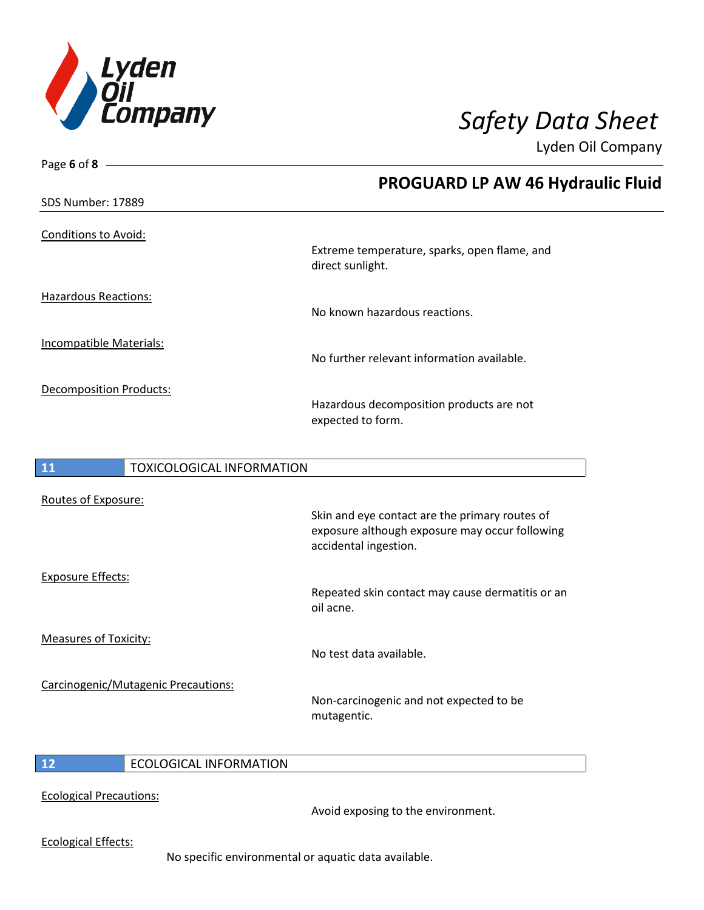

| Page 6 of 8                            |                                                                         |
|----------------------------------------|-------------------------------------------------------------------------|
|                                        | <b>PROGUARD LP AW 46 Hydraulic Fluid</b>                                |
| SDS Number: 17889                      |                                                                         |
| <b>Conditions to Avoid:</b>            |                                                                         |
|                                        | Extreme temperature, sparks, open flame, and<br>direct sunlight.        |
| <b>Hazardous Reactions:</b>            |                                                                         |
|                                        | No known hazardous reactions.                                           |
| <b>Incompatible Materials:</b>         |                                                                         |
|                                        | No further relevant information available.                              |
| <b>Decomposition Products:</b>         |                                                                         |
|                                        | Hazardous decomposition products are not<br>expected to form.           |
|                                        |                                                                         |
| 11<br><b>TOXICOLOGICAL INFORMATION</b> |                                                                         |
| Routes of Exposure:                    |                                                                         |
|                                        | Skin and eye contact are the primary routes of                          |
|                                        | exposure although exposure may occur following<br>accidental ingestion. |
| <b>Exposure Effects:</b>               |                                                                         |
|                                        | Repeated skin contact may cause dermatitis or an<br>oil acne.           |

Measures of Toxicity:

Carcinogenic/Mutagenic Precautions:

Non-carcinogenic and not expected to be mutagentic.

No test data available.

 $\overline{\phantom{a}}$ 

### **12** ECOLOGICAL INFORMATION

Ecological Precautions:

Avoid exposing to the environment.

Ecological Effects:

No specific environmental or aquatic data available.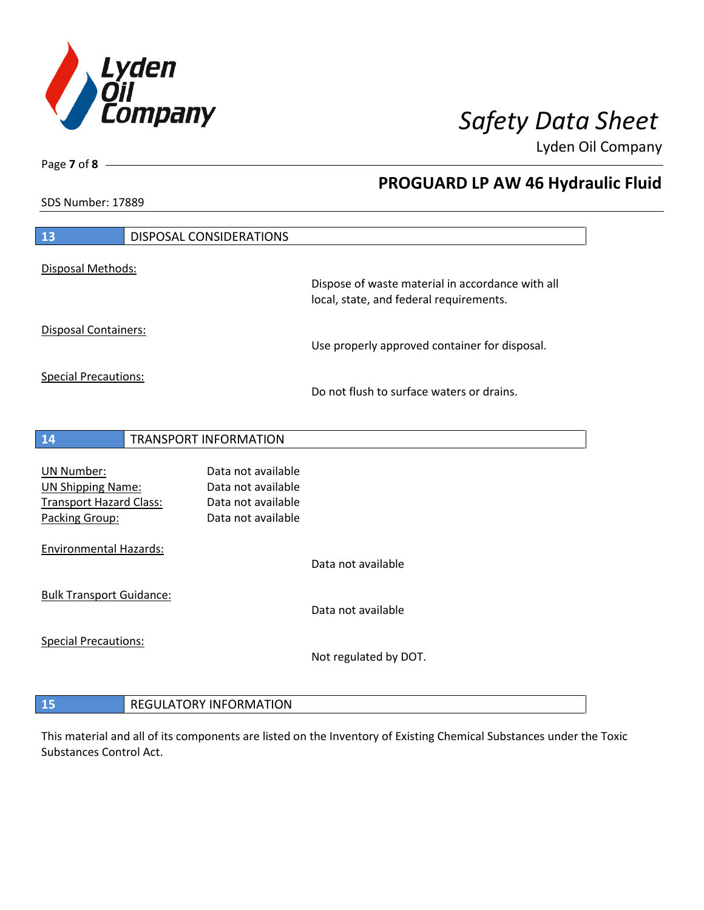

**PROGUARD LP AW 46 Hydraulic Fluid**

Lyden Oil Company

SDS Number: 17889

Page **7** of **8**

| 13                                                                              | DISPOSAL CONSIDERATIONS       |                                                                |                                                                                             |
|---------------------------------------------------------------------------------|-------------------------------|----------------------------------------------------------------|---------------------------------------------------------------------------------------------|
| Disposal Methods:                                                               |                               |                                                                |                                                                                             |
|                                                                                 |                               |                                                                | Dispose of waste material in accordance with all<br>local, state, and federal requirements. |
| Disposal Containers:                                                            |                               |                                                                | Use properly approved container for disposal.                                               |
| <b>Special Precautions:</b>                                                     |                               |                                                                | Do not flush to surface waters or drains.                                                   |
|                                                                                 |                               |                                                                |                                                                                             |
| 14                                                                              | TRANSPORT INFORMATION         |                                                                |                                                                                             |
| <b>UN Number:</b><br><b>UN Shipping Name:</b><br><b>Transport Hazard Class:</b> |                               | Data not available<br>Data not available<br>Data not available |                                                                                             |
| Packing Group:<br><b>Environmental Hazards:</b>                                 |                               | Data not available                                             |                                                                                             |
|                                                                                 |                               |                                                                | Data not available                                                                          |
| <b>Bulk Transport Guidance:</b>                                                 |                               |                                                                | Data not available                                                                          |
| <b>Special Precautions:</b>                                                     |                               |                                                                | Not regulated by DOT.                                                                       |
| 15                                                                              | <b>REGULATORY INFORMATION</b> |                                                                |                                                                                             |

This material and all of its components are listed on the Inventory of Existing Chemical Substances under the Toxic Substances Control Act.